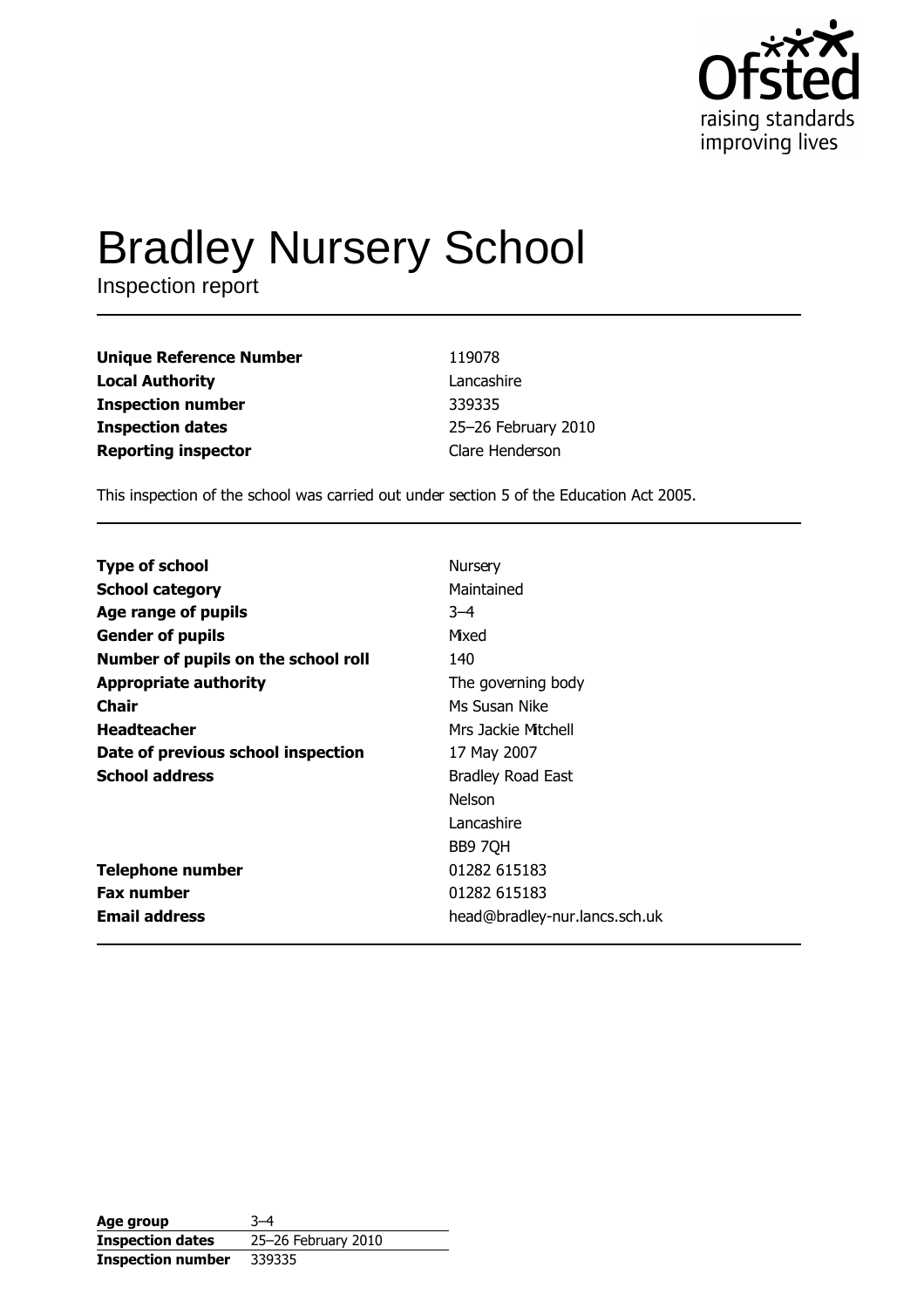

# **Bradley Nursery School**

Inspection report

| Unique Reference Number    | 119078              |
|----------------------------|---------------------|
| Local Authority            | Lancashire          |
| Inspection number          | 339335              |
| <b>Inspection dates</b>    | 25-26 February 2010 |
| <b>Reporting inspector</b> | Clare Henderson     |

This inspection of the school was carried out under section 5 of the Education Act 2005.

| <b>Type of school</b>               | Nursery                       |
|-------------------------------------|-------------------------------|
| <b>School category</b>              | Maintained                    |
| Age range of pupils                 | $-4$                          |
| <b>Gender of pupils</b>             | Mixed                         |
| Number of pupils on the school roll | 140                           |
| <b>Appropriate authority</b>        | The governing body            |
| Chair                               | Ms Susan Nike                 |
| <b>Headteacher</b>                  | Mrs Jackie Mitchell           |
| Date of previous school inspection  | 17 May 2007                   |
| <b>School address</b>               | <b>Bradley Road East</b>      |
|                                     | <b>Nelson</b>                 |
|                                     | Lancashire                    |
|                                     | BB9 7QH                       |
| Telephone number                    | 01282 615183                  |
| <b>Fax number</b>                   | 01282 615183                  |
| <b>Email address</b>                | head@bradley-nur.lancs.sch.uk |

| Age group                | $3 - 4$             |
|--------------------------|---------------------|
| <b>Inspection dates</b>  | 25-26 February 2010 |
| <b>Inspection number</b> | 339335              |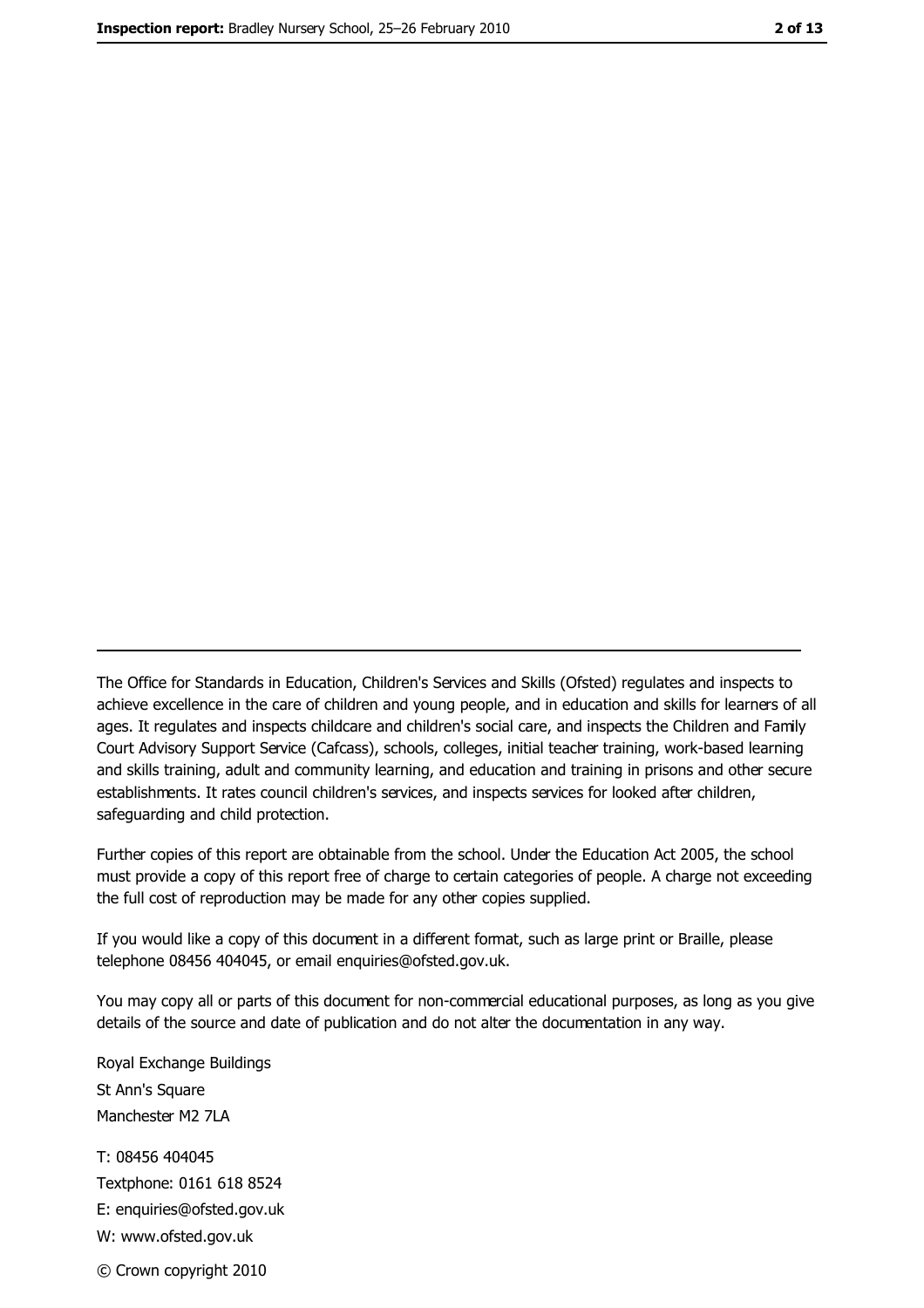The Office for Standards in Education, Children's Services and Skills (Ofsted) regulates and inspects to achieve excellence in the care of children and young people, and in education and skills for learners of all ages. It regulates and inspects childcare and children's social care, and inspects the Children and Family Court Advisory Support Service (Cafcass), schools, colleges, initial teacher training, work-based learning and skills training, adult and community learning, and education and training in prisons and other secure establishments. It rates council children's services, and inspects services for looked after children, safequarding and child protection.

Further copies of this report are obtainable from the school. Under the Education Act 2005, the school must provide a copy of this report free of charge to certain categories of people. A charge not exceeding the full cost of reproduction may be made for any other copies supplied.

If you would like a copy of this document in a different format, such as large print or Braille, please telephone 08456 404045, or email enquiries@ofsted.gov.uk.

You may copy all or parts of this document for non-commercial educational purposes, as long as you give details of the source and date of publication and do not alter the documentation in any way.

Royal Exchange Buildings St Ann's Square Manchester M2 7LA T: 08456 404045 Textphone: 0161 618 8524 E: enquiries@ofsted.gov.uk W: www.ofsted.gov.uk © Crown copyright 2010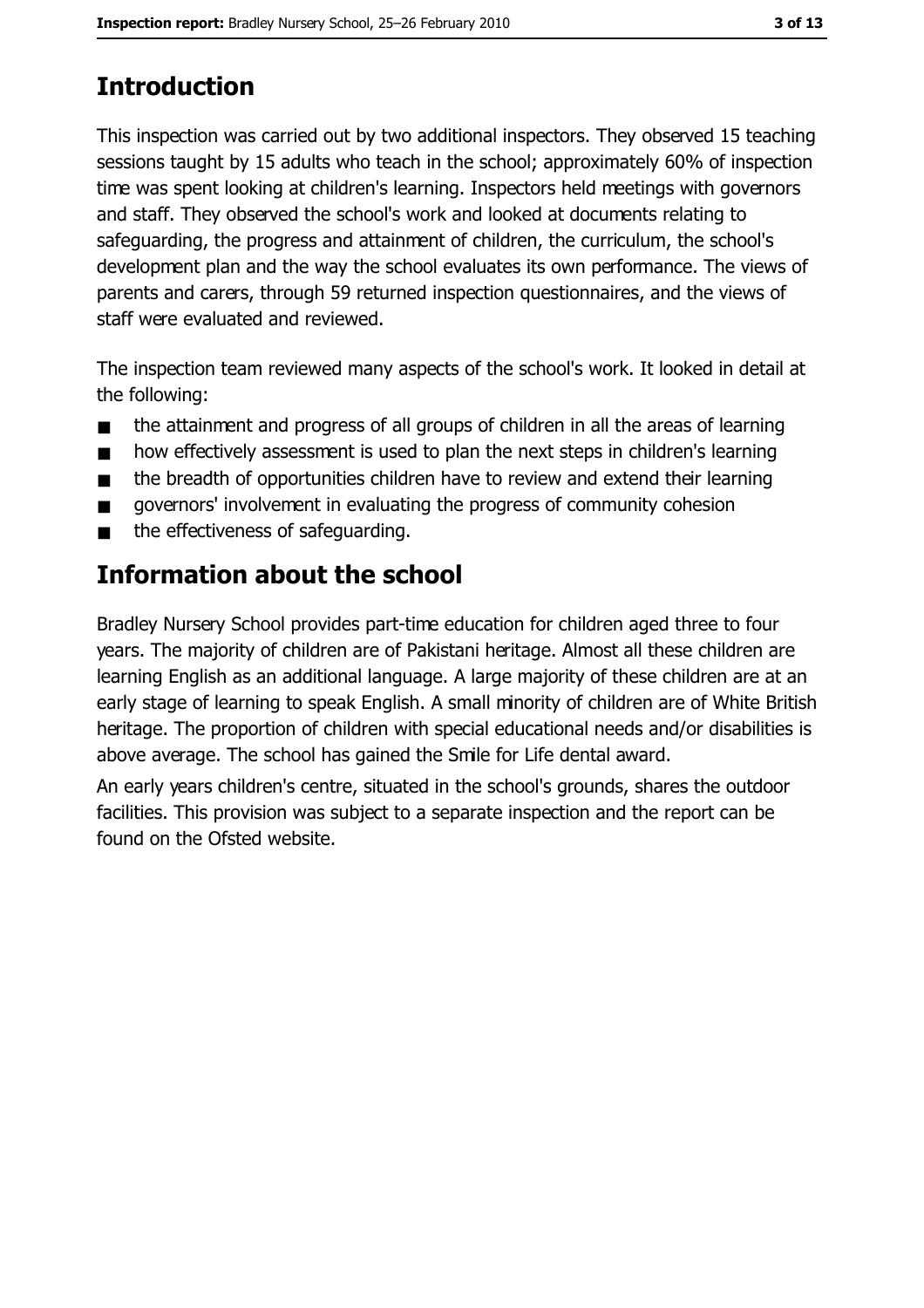# **Introduction**

This inspection was carried out by two additional inspectors. They observed 15 teaching sessions taught by 15 adults who teach in the school; approximately 60% of inspection time was spent looking at children's learning. Inspectors held meetings with governors and staff. They observed the school's work and looked at documents relating to safeguarding, the progress and attainment of children, the curriculum, the school's development plan and the way the school evaluates its own performance. The views of parents and carers, through 59 returned inspection questionnaires, and the views of staff were evaluated and reviewed.

The inspection team reviewed many aspects of the school's work. It looked in detail at the following:

- the attainment and progress of all groups of children in all the areas of learning  $\blacksquare$
- how effectively assessment is used to plan the next steps in children's learning  $\blacksquare$
- the breadth of opportunities children have to review and extend their learning  $\blacksquare$
- governors' involvement in evaluating the progress of community cohesion  $\blacksquare$
- the effectiveness of safeguarding.  $\blacksquare$

# Information about the school

Bradley Nursery School provides part-time education for children aged three to four years. The majority of children are of Pakistani heritage. Almost all these children are learning English as an additional language. A large majority of these children are at an early stage of learning to speak English. A small minority of children are of White British heritage. The proportion of children with special educational needs and/or disabilities is above average. The school has gained the Smile for Life dental award.

An early years children's centre, situated in the school's grounds, shares the outdoor facilities. This provision was subject to a separate inspection and the report can be found on the Ofsted website.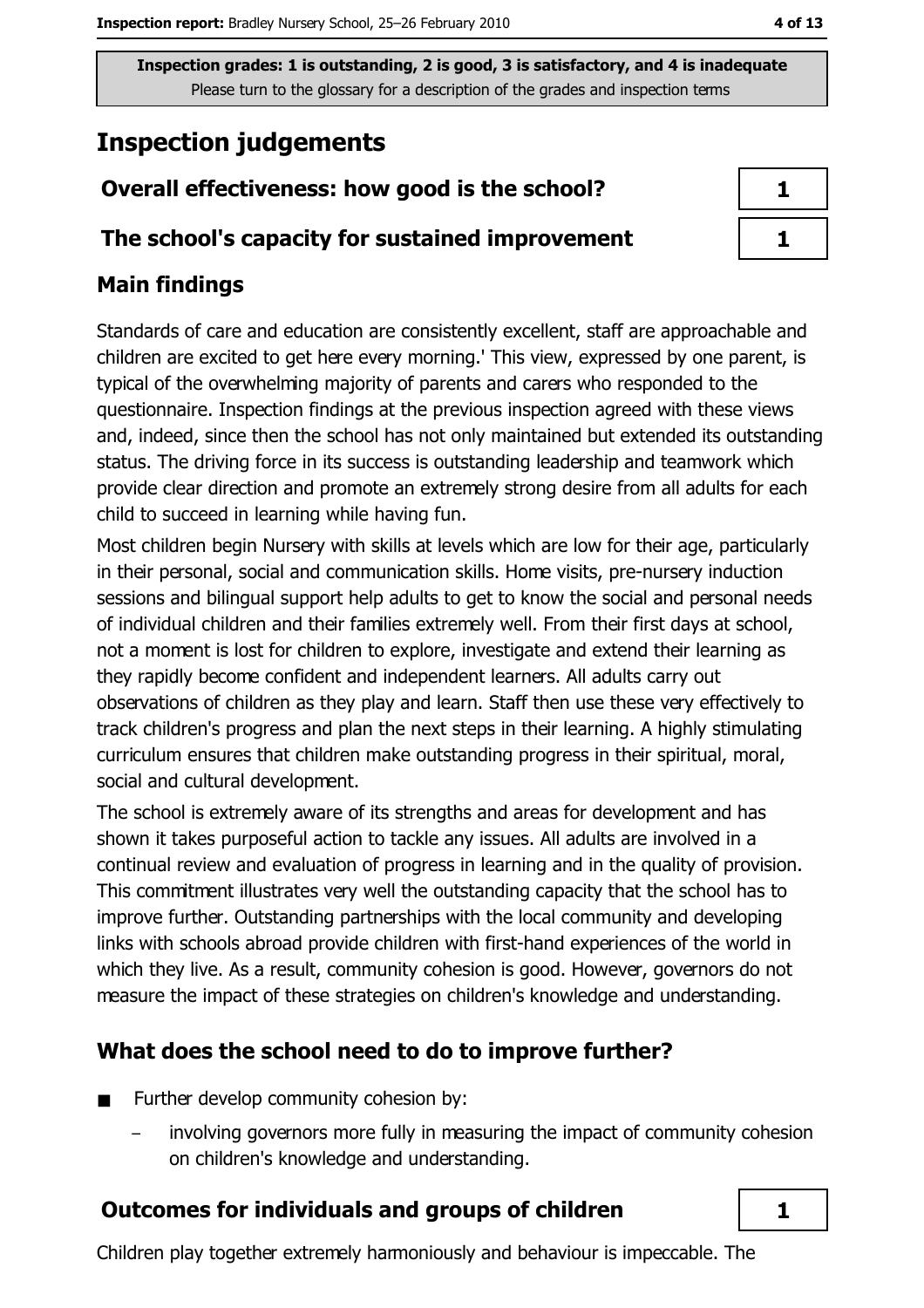Inspection grades: 1 is outstanding, 2 is good, 3 is satisfactory, and 4 is inadequate Please turn to the glossary for a description of the grades and inspection terms

# **Inspection judgements**

# Overall effectiveness: how good is the school?

## The school's capacity for sustained improvement

# **Main findings**

Standards of care and education are consistently excellent, staff are approachable and children are excited to get here every morning.' This view, expressed by one parent, is typical of the overwhelming majority of parents and carers who responded to the questionnaire. Inspection findings at the previous inspection agreed with these views and, indeed, since then the school has not only maintained but extended its outstanding status. The driving force in its success is outstanding leadership and teamwork which provide clear direction and promote an extremely strong desire from all adults for each child to succeed in learning while having fun.

Most children begin Nursery with skills at levels which are low for their age, particularly in their personal, social and communication skills. Home visits, pre-nursery induction sessions and bilingual support help adults to get to know the social and personal needs of individual children and their families extremely well. From their first days at school, not a moment is lost for children to explore, investigate and extend their learning as they rapidly become confident and independent learners. All adults carry out observations of children as they play and learn. Staff then use these very effectively to track children's progress and plan the next steps in their learning. A highly stimulating curriculum ensures that children make outstanding progress in their spiritual, moral, social and cultural development.

The school is extremely aware of its strengths and areas for development and has shown it takes purposeful action to tackle any issues. All adults are involved in a continual review and evaluation of progress in learning and in the quality of provision. This commitment illustrates very well the outstanding capacity that the school has to improve further. Outstanding partnerships with the local community and developing links with schools abroad provide children with first-hand experiences of the world in which they live. As a result, community cohesion is good. However, governors do not measure the impact of these strategies on children's knowledge and understanding.

# What does the school need to do to improve further?

- Further develop community cohesion by:  $\blacksquare$ 
	- involving governors more fully in measuring the impact of community cohesion on children's knowledge and understanding.

# **Outcomes for individuals and groups of children**

Children play together extremely harmoniously and behaviour is impeccable. The

1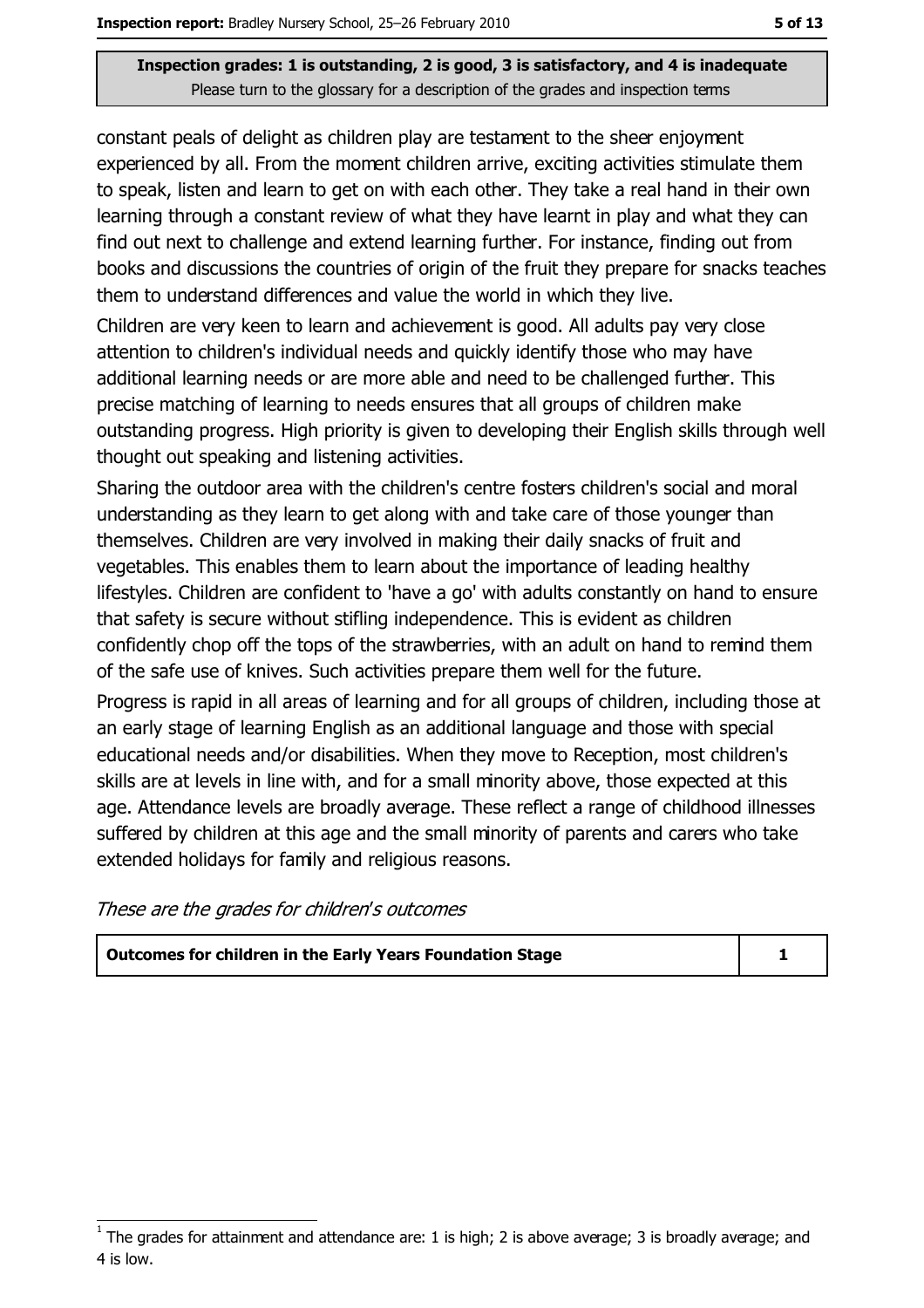#### Inspection grades: 1 is outstanding, 2 is good, 3 is satisfactory, and 4 is inadequate Please turn to the glossary for a description of the grades and inspection terms

constant peals of delight as children play are testament to the sheer enjoyment experienced by all. From the moment children arrive, exciting activities stimulate them to speak, listen and learn to get on with each other. They take a real hand in their own learning through a constant review of what they have learnt in play and what they can find out next to challenge and extend learning further. For instance, finding out from books and discussions the countries of origin of the fruit they prepare for snacks teaches them to understand differences and value the world in which they live.

Children are very keen to learn and achievement is good. All adults pay very close attention to children's individual needs and quickly identify those who may have additional learning needs or are more able and need to be challenged further. This precise matching of learning to needs ensures that all groups of children make outstanding progress. High priority is given to developing their English skills through well thought out speaking and listening activities.

Sharing the outdoor area with the children's centre fosters children's social and moral understanding as they learn to get along with and take care of those younger than themselves. Children are very involved in making their daily snacks of fruit and vegetables. This enables them to learn about the importance of leading healthy lifestyles. Children are confident to 'have a go' with adults constantly on hand to ensure that safety is secure without stifling independence. This is evident as children confidently chop off the tops of the strawberries, with an adult on hand to remind them of the safe use of knives. Such activities prepare them well for the future.

Progress is rapid in all areas of learning and for all groups of children, including those at an early stage of learning English as an additional language and those with special educational needs and/or disabilities. When they move to Reception, most children's skills are at levels in line with, and for a small minority above, those expected at this age. Attendance levels are broadly average. These reflect a range of childhood illnesses suffered by children at this age and the small minority of parents and carers who take extended holidays for family and religious reasons.

These are the grades for children's outcomes

| Outcomes for children in the Early Years Foundation Stage |  |
|-----------------------------------------------------------|--|
|-----------------------------------------------------------|--|

The grades for attainment and attendance are: 1 is high; 2 is above average; 3 is broadly average; and 4 is low.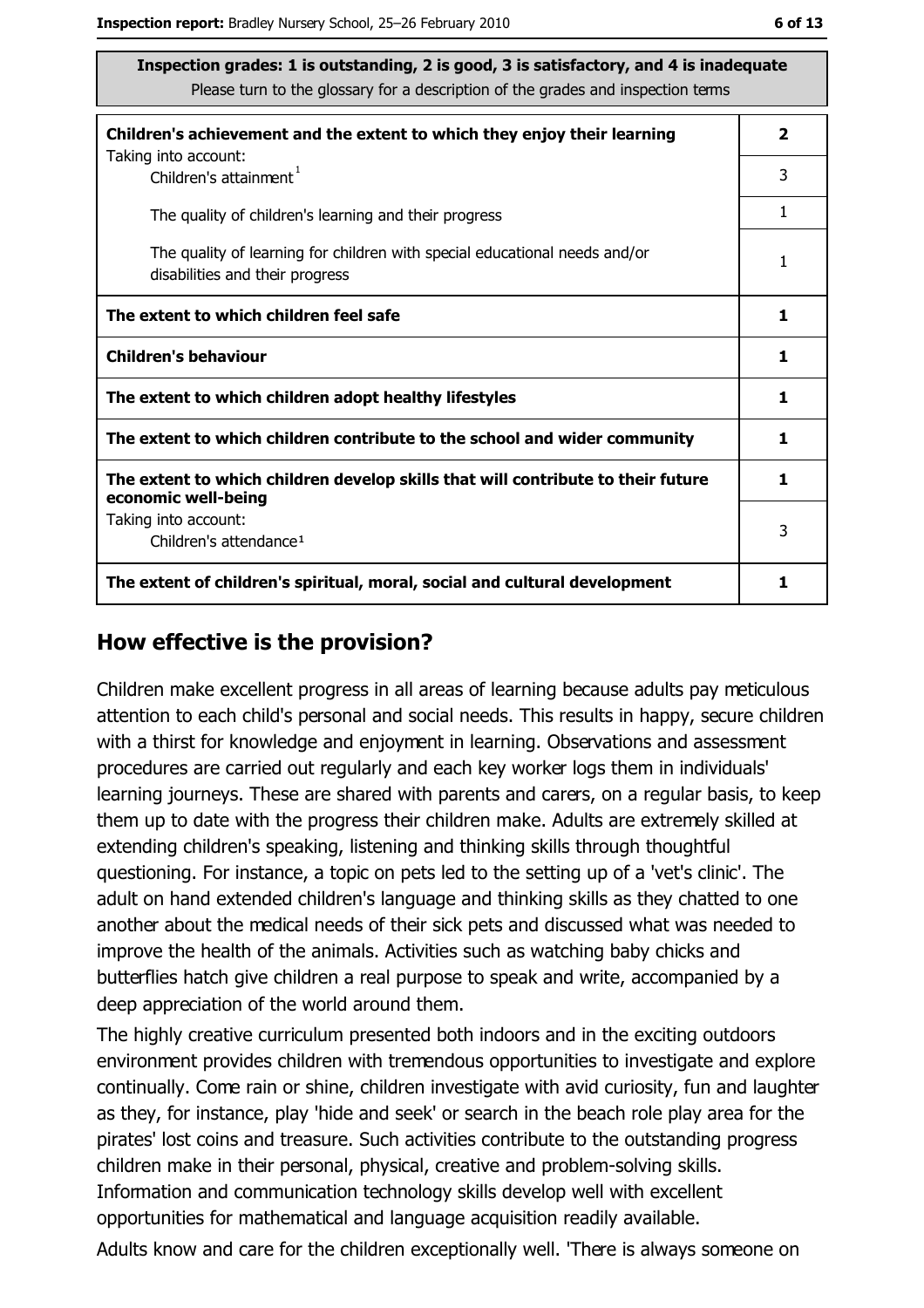| Inspection grades: 1 is outstanding, 2 is good, 3 is satisfactory, and 4 is inadequate<br>Please turn to the glossary for a description of the grades and inspection terms |   |  |
|----------------------------------------------------------------------------------------------------------------------------------------------------------------------------|---|--|
| Children's achievement and the extent to which they enjoy their learning                                                                                                   | 2 |  |
| Taking into account:<br>Children's attainment <sup>1</sup>                                                                                                                 | 3 |  |
| The quality of children's learning and their progress                                                                                                                      | 1 |  |
| The quality of learning for children with special educational needs and/or<br>disabilities and their progress                                                              | 1 |  |
| The extent to which children feel safe                                                                                                                                     |   |  |
| <b>Children's behaviour</b>                                                                                                                                                | 1 |  |
| The extent to which children adopt healthy lifestyles                                                                                                                      | 1 |  |
| The extent to which children contribute to the school and wider community                                                                                                  | 1 |  |
| The extent to which children develop skills that will contribute to their future<br>economic well-being                                                                    | 1 |  |
| Taking into account:<br>Children's attendance <sup>1</sup>                                                                                                                 |   |  |
| The extent of children's spiritual, moral, social and cultural development                                                                                                 | 1 |  |

### How effective is the provision?

Children make excellent progress in all areas of learning because adults pay meticulous attention to each child's personal and social needs. This results in happy, secure children with a thirst for knowledge and enjoyment in learning. Observations and assessment procedures are carried out regularly and each key worker logs them in individuals' learning journeys. These are shared with parents and carers, on a regular basis, to keep them up to date with the progress their children make. Adults are extremely skilled at extending children's speaking, listening and thinking skills through thoughtful questioning. For instance, a topic on pets led to the setting up of a 'vet's clinic'. The adult on hand extended children's language and thinking skills as they chatted to one another about the medical needs of their sick pets and discussed what was needed to improve the health of the animals. Activities such as watching baby chicks and butterflies hatch give children a real purpose to speak and write, accompanied by a deep appreciation of the world around them.

The highly creative curriculum presented both indoors and in the exciting outdoors environment provides children with tremendous opportunities to investigate and explore continually. Come rain or shine, children investigate with avid curiosity, fun and laughter as they, for instance, play 'hide and seek' or search in the beach role play area for the pirates' lost coins and treasure. Such activities contribute to the outstanding progress children make in their personal, physical, creative and problem-solving skills. Information and communication technology skills develop well with excellent opportunities for mathematical and language acquisition readily available. Adults know and care for the children exceptionally well. 'There is always someone on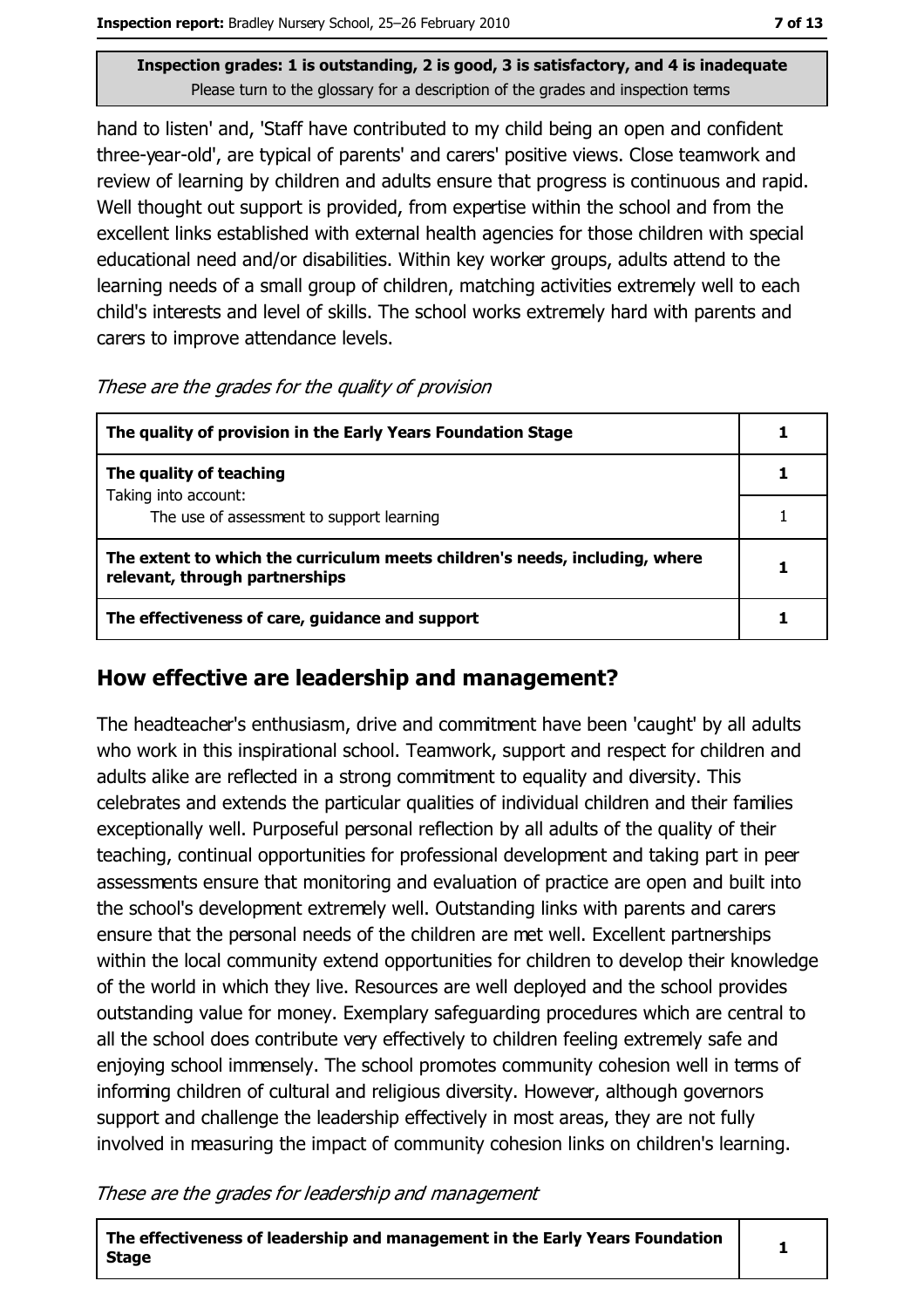Inspection grades: 1 is outstanding, 2 is good, 3 is satisfactory, and 4 is inadequate Please turn to the glossary for a description of the grades and inspection terms

hand to listen' and, 'Staff have contributed to my child being an open and confident three-year-old', are typical of parents' and carers' positive views. Close teamwork and review of learning by children and adults ensure that progress is continuous and rapid. Well thought out support is provided, from expertise within the school and from the excellent links established with external health agencies for those children with special educational need and/or disabilities. Within key worker groups, adults attend to the learning needs of a small group of children, matching activities extremely well to each child's interests and level of skills. The school works extremely hard with parents and carers to improve attendance levels.

| These are the grades for the quality of provision |  |  |  |  |  |  |
|---------------------------------------------------|--|--|--|--|--|--|
|---------------------------------------------------|--|--|--|--|--|--|

| The quality of provision in the Early Years Foundation Stage                                                  |  |
|---------------------------------------------------------------------------------------------------------------|--|
| The quality of teaching                                                                                       |  |
| Taking into account:<br>The use of assessment to support learning                                             |  |
| The extent to which the curriculum meets children's needs, including, where<br>relevant, through partnerships |  |
| The effectiveness of care, guidance and support                                                               |  |

## How effective are leadership and management?

The headteacher's enthusiasm, drive and commitment have been 'caught' by all adults who work in this inspirational school. Teamwork, support and respect for children and adults alike are reflected in a strong commitment to equality and diversity. This celebrates and extends the particular qualities of individual children and their families exceptionally well. Purposeful personal reflection by all adults of the quality of their teaching, continual opportunities for professional development and taking part in peer assessments ensure that monitoring and evaluation of practice are open and built into the school's development extremely well. Outstanding links with parents and carers ensure that the personal needs of the children are met well. Excellent partnerships within the local community extend opportunities for children to develop their knowledge of the world in which they live. Resources are well deployed and the school provides outstanding value for money. Exemplary safeguarding procedures which are central to all the school does contribute very effectively to children feeling extremely safe and enjoying school immensely. The school promotes community cohesion well in terms of informing children of cultural and religious diversity. However, although governors support and challenge the leadership effectively in most areas, they are not fully involved in measuring the impact of community cohesion links on children's learning.

These are the grades for leadership and management

The effectiveness of leadership and management in the Early Years Foundation **Stage** 

 $\mathbf{1}$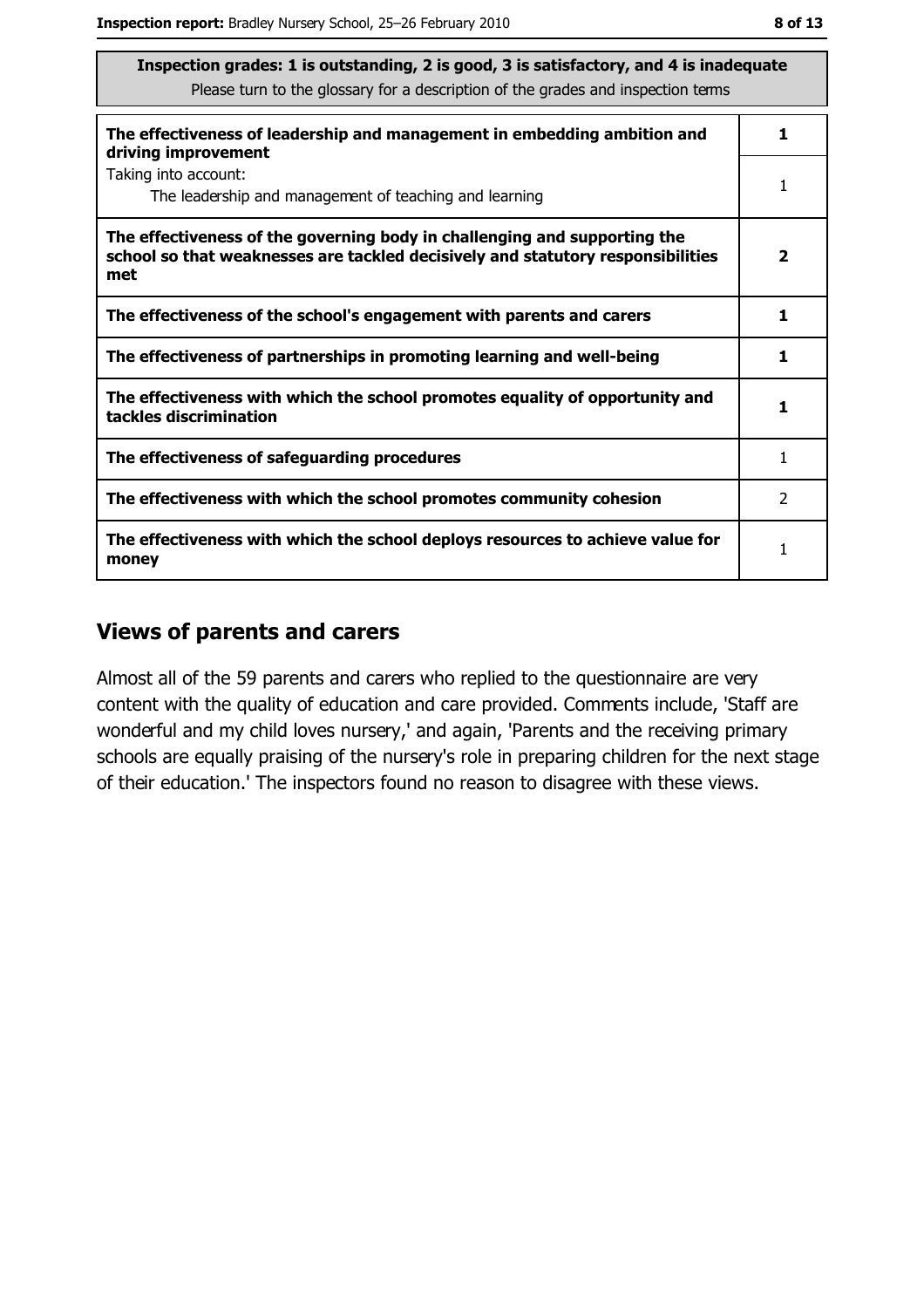| Inspection grades: 1 is outstanding, 2 is good, 3 is satisfactory, and 4 is inadequate<br>Please turn to the glossary for a description of the grades and inspection terms |                         |  |
|----------------------------------------------------------------------------------------------------------------------------------------------------------------------------|-------------------------|--|
| The effectiveness of leadership and management in embedding ambition and<br>driving improvement                                                                            | 1                       |  |
| Taking into account:<br>The leadership and management of teaching and learning                                                                                             | 1                       |  |
| The effectiveness of the governing body in challenging and supporting the<br>school so that weaknesses are tackled decisively and statutory responsibilities<br>met        | $\overline{\mathbf{2}}$ |  |
| The effectiveness of the school's engagement with parents and carers                                                                                                       | 1                       |  |
| The effectiveness of partnerships in promoting learning and well-being                                                                                                     | 1                       |  |
| The effectiveness with which the school promotes equality of opportunity and<br>tackles discrimination                                                                     | 1                       |  |
| The effectiveness of safeguarding procedures                                                                                                                               | 1                       |  |
| The effectiveness with which the school promotes community cohesion                                                                                                        | $\mathcal{P}$           |  |
| The effectiveness with which the school deploys resources to achieve value for<br>money                                                                                    | 1                       |  |

## **Views of parents and carers**

Almost all of the 59 parents and carers who replied to the questionnaire are very content with the quality of education and care provided. Comments include, 'Staff are wonderful and my child loves nursery,' and again, 'Parents and the receiving primary schools are equally praising of the nursery's role in preparing children for the next stage of their education.' The inspectors found no reason to disagree with these views.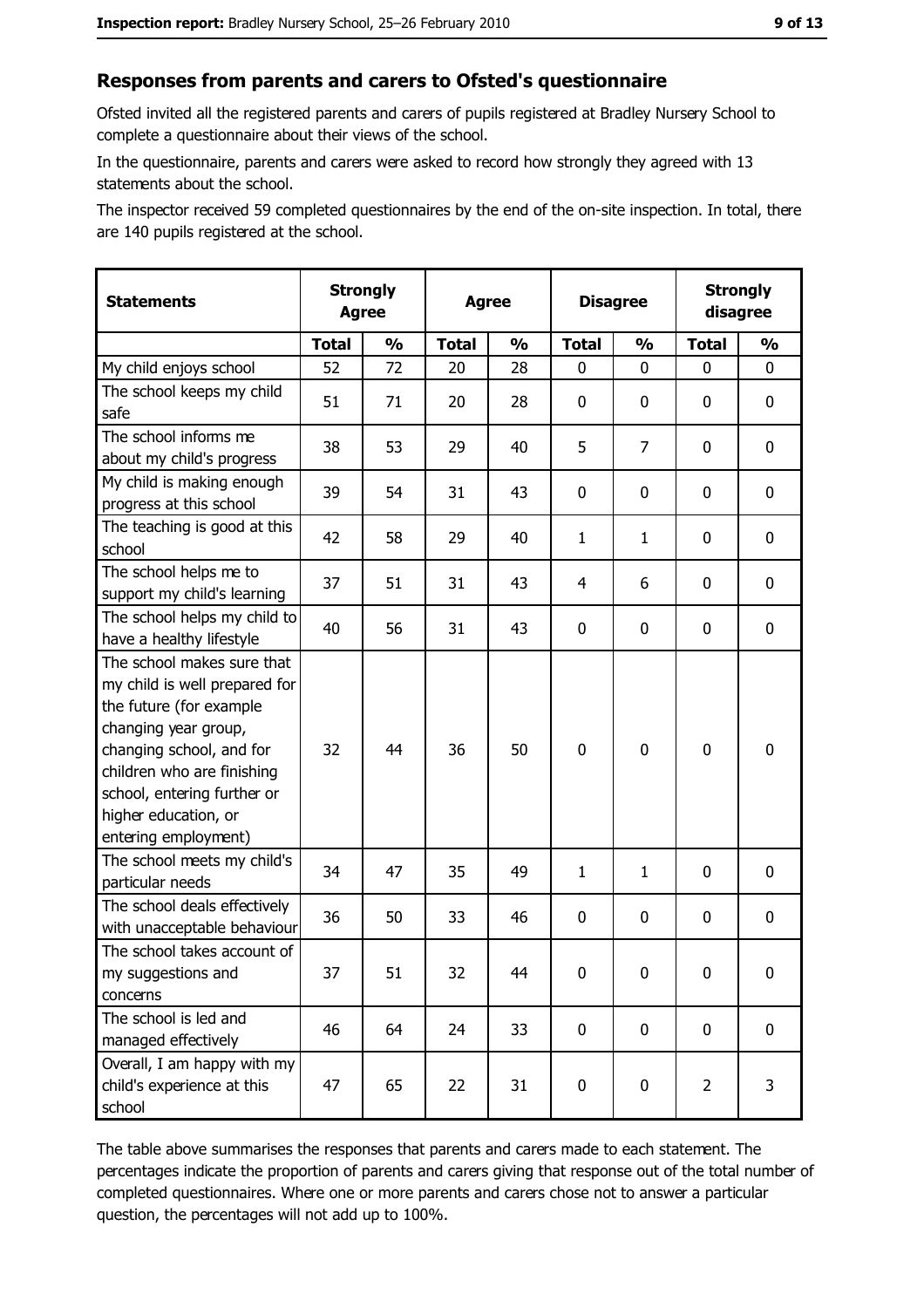## Responses from parents and carers to Ofsted's questionnaire

Ofsted invited all the registered parents and carers of pupils registered at Bradley Nursery School to complete a questionnaire about their views of the school.

In the questionnaire, parents and carers were asked to record how strongly they agreed with 13 statements about the school.

The inspector received 59 completed questionnaires by the end of the on-site inspection. In total, there are 140 pupils registered at the school.

| <b>Statements</b>                                                                                                                                                                                                                                       | <b>Agree</b> | <b>Strongly</b> | <b>Strongly</b><br><b>Disagree</b><br><b>Agree</b><br>disagree |               |                |                |                |                  |
|---------------------------------------------------------------------------------------------------------------------------------------------------------------------------------------------------------------------------------------------------------|--------------|-----------------|----------------------------------------------------------------|---------------|----------------|----------------|----------------|------------------|
|                                                                                                                                                                                                                                                         | <b>Total</b> | $\frac{1}{2}$   | <b>Total</b>                                                   | $\frac{0}{0}$ | <b>Total</b>   | $\frac{0}{0}$  | <b>Total</b>   | $\frac{1}{2}$    |
| My child enjoys school                                                                                                                                                                                                                                  | 52           | 72              | 20                                                             | 28            | $\mathbf 0$    | 0              | 0              | 0                |
| The school keeps my child<br>safe                                                                                                                                                                                                                       | 51           | 71              | 20                                                             | 28            | $\mathbf 0$    | 0              | 0              | 0                |
| The school informs me<br>about my child's progress                                                                                                                                                                                                      | 38           | 53              | 29                                                             | 40            | 5              | $\overline{7}$ | 0              | 0                |
| My child is making enough<br>progress at this school                                                                                                                                                                                                    | 39           | 54              | 31                                                             | 43            | 0              | 0              | 0              | 0                |
| The teaching is good at this<br>school                                                                                                                                                                                                                  | 42           | 58              | 29                                                             | 40            | $\mathbf{1}$   | $\mathbf{1}$   | 0              | 0                |
| The school helps me to<br>support my child's learning                                                                                                                                                                                                   | 37           | 51              | 31                                                             | 43            | $\overline{4}$ | 6              | 0              | $\mathbf 0$      |
| The school helps my child to<br>have a healthy lifestyle                                                                                                                                                                                                | 40           | 56              | 31                                                             | 43            | $\mathbf 0$    | 0              | 0              | 0                |
| The school makes sure that<br>my child is well prepared for<br>the future (for example<br>changing year group,<br>changing school, and for<br>children who are finishing<br>school, entering further or<br>higher education, or<br>entering employment) | 32           | 44              | 36                                                             | 50            | $\mathbf 0$    | 0              | $\mathbf 0$    | $\boldsymbol{0}$ |
| The school meets my child's<br>particular needs                                                                                                                                                                                                         | 34           | 47              | 35                                                             | 49            | $\mathbf{1}$   | $\mathbf{1}$   | $\Omega$       | $\boldsymbol{0}$ |
| The school deals effectively<br>with unacceptable behaviour                                                                                                                                                                                             | 36           | 50              | 33                                                             | 46            | $\mathbf 0$    | 0              | 0              | $\mathbf 0$      |
| The school takes account of<br>my suggestions and<br>concerns                                                                                                                                                                                           | 37           | 51              | 32                                                             | 44            | $\mathbf 0$    | 0              | 0              | $\boldsymbol{0}$ |
| The school is led and<br>managed effectively                                                                                                                                                                                                            | 46           | 64              | 24                                                             | 33            | $\mathbf 0$    | 0              | $\mathbf 0$    | 0                |
| Overall, I am happy with my<br>child's experience at this<br>school                                                                                                                                                                                     | 47           | 65              | 22                                                             | 31            | $\pmb{0}$      | 0              | $\overline{2}$ | 3                |

The table above summarises the responses that parents and carers made to each statement. The percentages indicate the proportion of parents and carers giving that response out of the total number of completed questionnaires. Where one or more parents and carers chose not to answer a particular question, the percentages will not add up to 100%.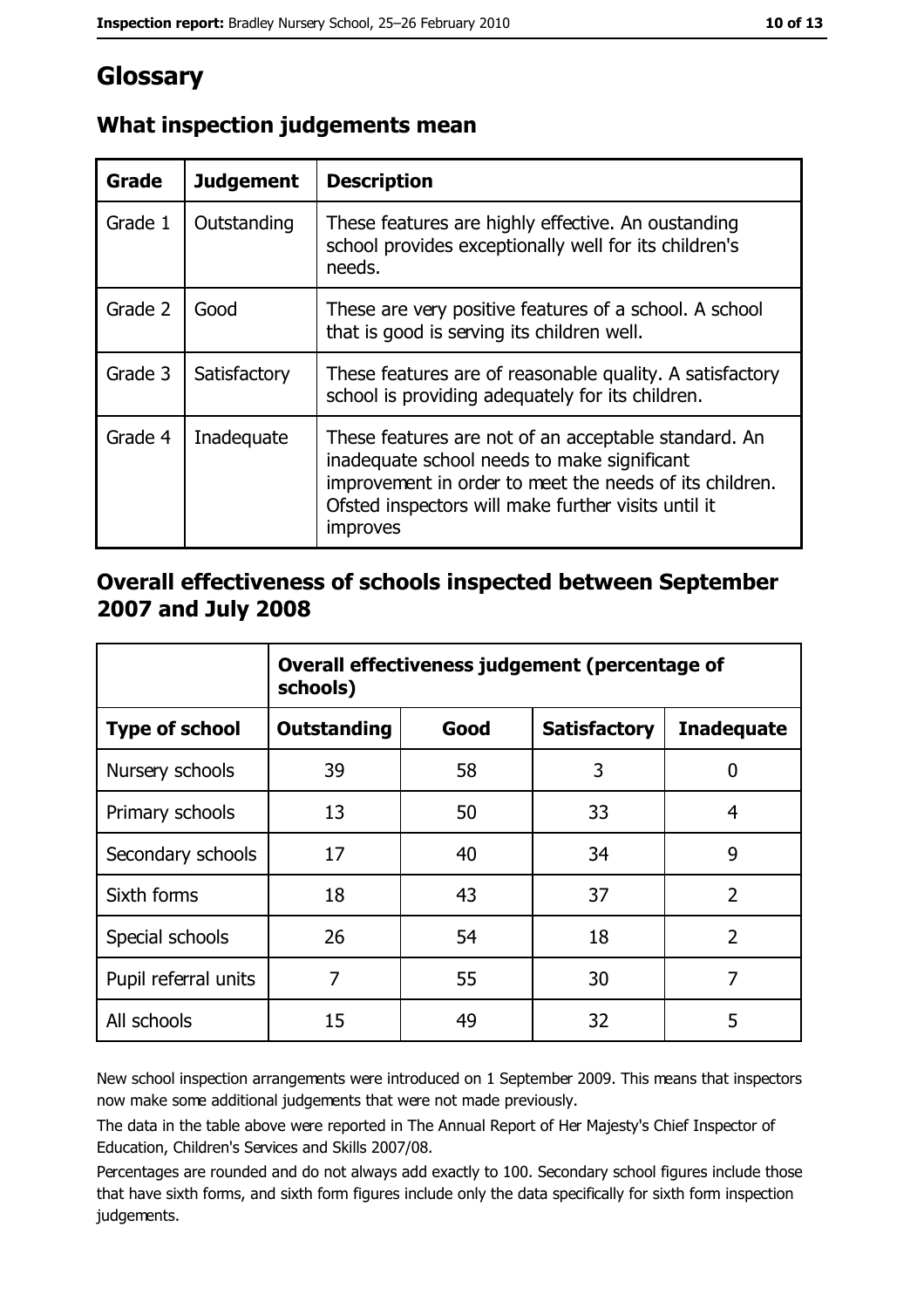# Glossary

| Grade   | <b>Judgement</b> | <b>Description</b>                                                                                                                                                                                                                |
|---------|------------------|-----------------------------------------------------------------------------------------------------------------------------------------------------------------------------------------------------------------------------------|
| Grade 1 | Outstanding      | These features are highly effective. An oustanding<br>school provides exceptionally well for its children's<br>needs.                                                                                                             |
| Grade 2 | Good             | These are very positive features of a school. A school<br>that is good is serving its children well.                                                                                                                              |
| Grade 3 | Satisfactory     | These features are of reasonable quality. A satisfactory<br>school is providing adequately for its children.                                                                                                                      |
| Grade 4 | Inadequate       | These features are not of an acceptable standard. An<br>inadequate school needs to make significant<br>improvement in order to meet the needs of its children.<br>Ofsted inspectors will make further visits until it<br>improves |

# What inspection judgements mean

## Overall effectiveness of schools inspected between September 2007 and July 2008

|                       | Overall effectiveness judgement (percentage of<br>schools) |      |                     |                   |  |  |
|-----------------------|------------------------------------------------------------|------|---------------------|-------------------|--|--|
| <b>Type of school</b> | <b>Outstanding</b>                                         | Good | <b>Satisfactory</b> | <b>Inadequate</b> |  |  |
| Nursery schools       | 39                                                         | 58   | 3                   | 0                 |  |  |
| Primary schools       | 13                                                         | 50   | 33                  | 4                 |  |  |
| Secondary schools     | 17                                                         | 40   | 34                  | 9                 |  |  |
| Sixth forms           | 18                                                         | 43   | 37                  | $\overline{2}$    |  |  |
| Special schools       | 26                                                         | 54   | 18                  | $\overline{2}$    |  |  |
| Pupil referral units  | 7                                                          | 55   | 30                  | 7                 |  |  |
| All schools           | 15                                                         | 49   | 32                  | 5                 |  |  |

New school inspection arrangements were introduced on 1 September 2009. This means that inspectors now make some additional judgements that were not made previously.

The data in the table above were reported in The Annual Report of Her Majesty's Chief Inspector of Education, Children's Services and Skills 2007/08.

Percentages are rounded and do not always add exactly to 100. Secondary school figures include those that have sixth forms, and sixth form figures include only the data specifically for sixth form inspection judgements.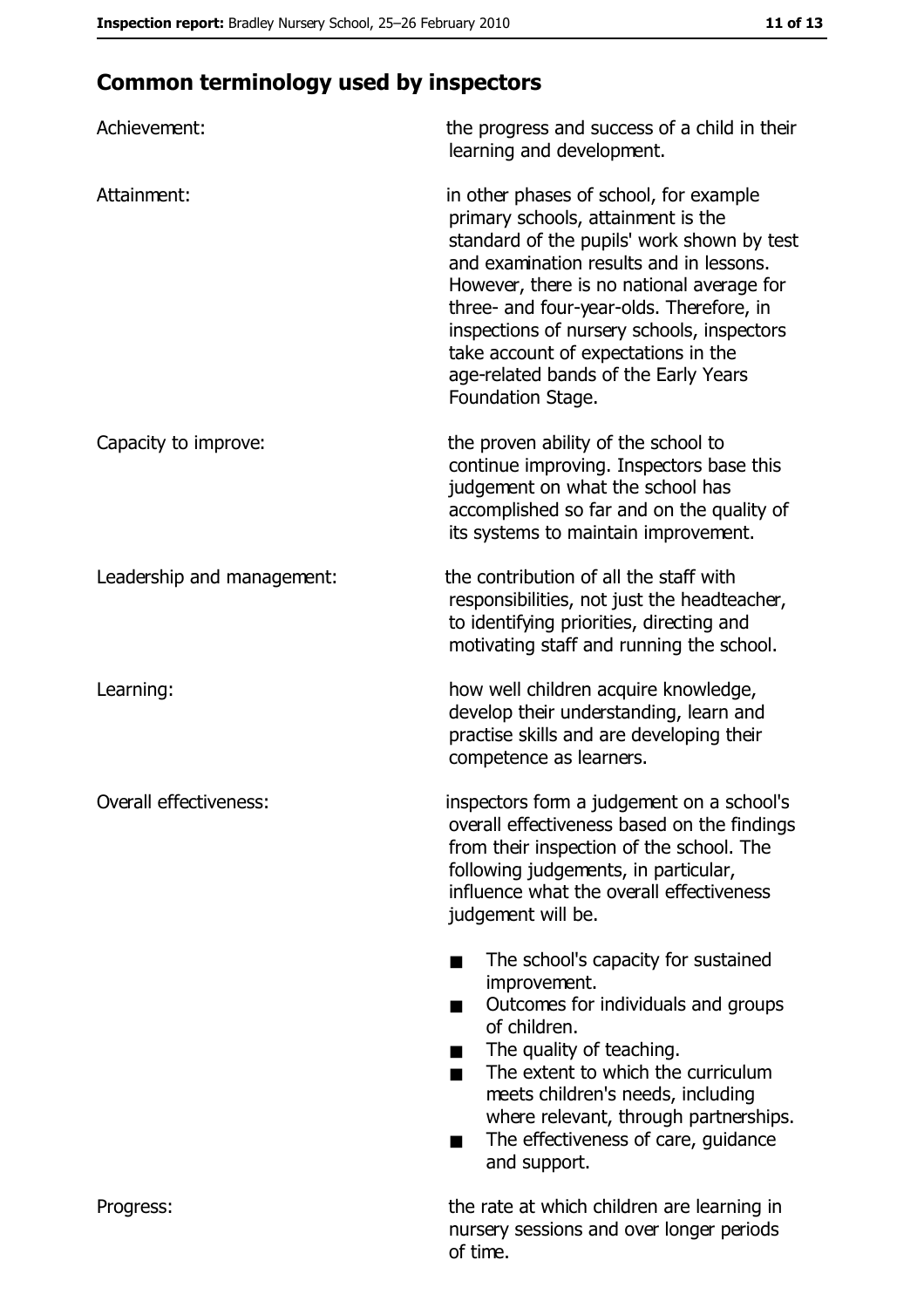# **Common terminology used by inspectors**

| Achievement:               | the progress and success of a child in their<br>learning and development.                                                                                                                                                                                                                                                                                                                                        |
|----------------------------|------------------------------------------------------------------------------------------------------------------------------------------------------------------------------------------------------------------------------------------------------------------------------------------------------------------------------------------------------------------------------------------------------------------|
| Attainment:                | in other phases of school, for example<br>primary schools, attainment is the<br>standard of the pupils' work shown by test<br>and examination results and in lessons.<br>However, there is no national average for<br>three- and four-year-olds. Therefore, in<br>inspections of nursery schools, inspectors<br>take account of expectations in the<br>age-related bands of the Early Years<br>Foundation Stage. |
| Capacity to improve:       | the proven ability of the school to<br>continue improving. Inspectors base this<br>judgement on what the school has<br>accomplished so far and on the quality of<br>its systems to maintain improvement.                                                                                                                                                                                                         |
| Leadership and management: | the contribution of all the staff with<br>responsibilities, not just the headteacher,<br>to identifying priorities, directing and<br>motivating staff and running the school.                                                                                                                                                                                                                                    |
| Learning:                  | how well children acquire knowledge,<br>develop their understanding, learn and<br>practise skills and are developing their<br>competence as learners.                                                                                                                                                                                                                                                            |
| Overall effectiveness:     | inspectors form a judgement on a school's<br>overall effectiveness based on the findings<br>from their inspection of the school. The<br>following judgements, in particular,<br>influence what the overall effectiveness<br>judgement will be.                                                                                                                                                                   |
|                            | The school's capacity for sustained<br>improvement.<br>Outcomes for individuals and groups<br>of children.<br>The quality of teaching.<br>The extent to which the curriculum<br>meets children's needs, including<br>where relevant, through partnerships.<br>The effectiveness of care, guidance<br>and support.                                                                                                |
| Progress:                  | the rate at which children are learning in<br>nursery sessions and over longer periods<br>of time.                                                                                                                                                                                                                                                                                                               |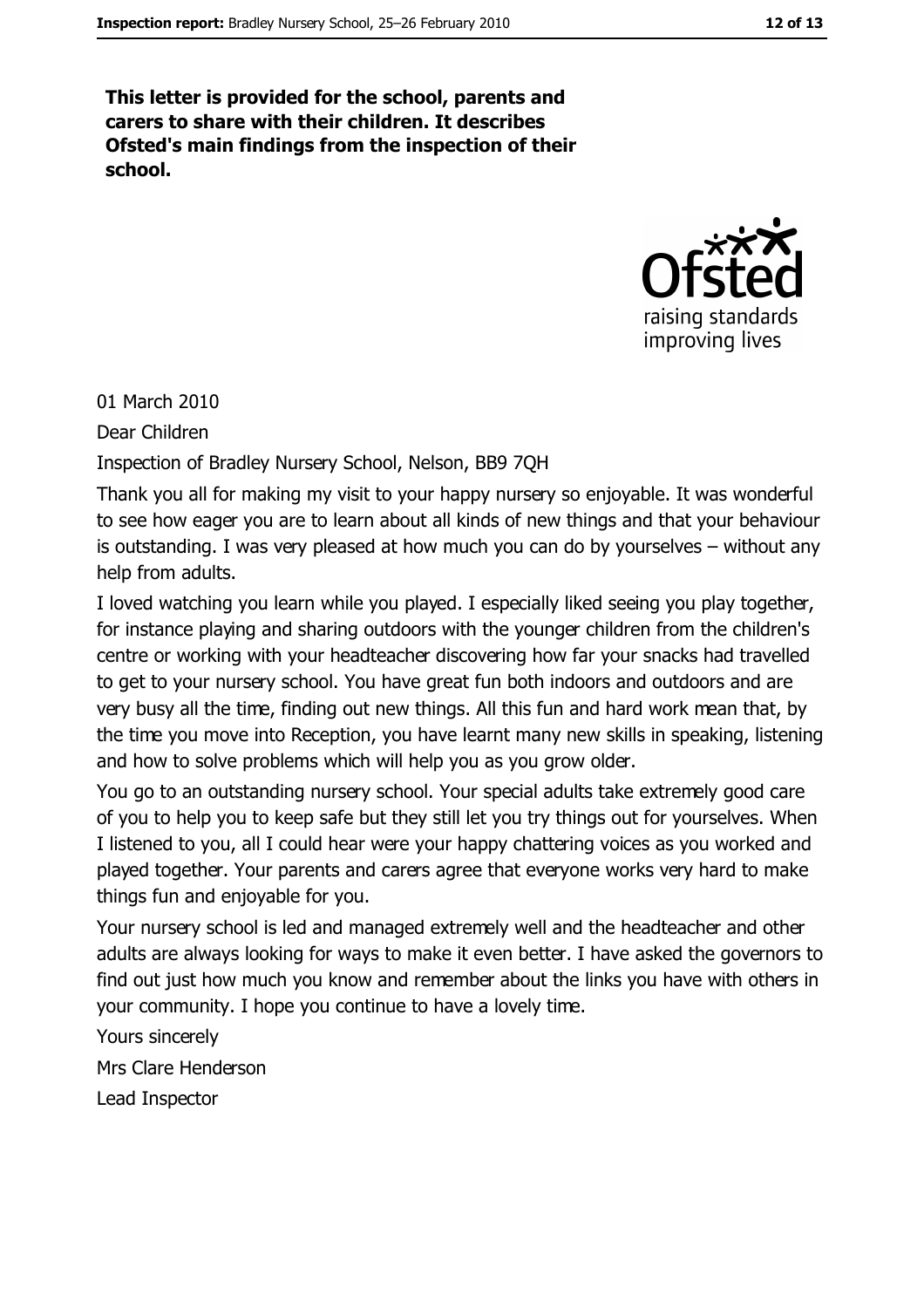This letter is provided for the school, parents and carers to share with their children. It describes Ofsted's main findings from the inspection of their school.



01 March 2010

Dear Children

Inspection of Bradley Nursery School, Nelson, BB9 7QH

Thank you all for making my visit to your happy nursery so enjoyable. It was wonderful to see how eager you are to learn about all kinds of new things and that your behaviour is outstanding. I was very pleased at how much you can do by yourselves  $-$  without any help from adults.

I loved watching you learn while you played. I especially liked seeing you play together, for instance playing and sharing outdoors with the younger children from the children's centre or working with your headteacher discovering how far your snacks had travelled to get to your nursery school. You have great fun both indoors and outdoors and are very busy all the time, finding out new things. All this fun and hard work mean that, by the time you move into Reception, you have learnt many new skills in speaking, listening and how to solve problems which will help you as you grow older.

You go to an outstanding nursery school. Your special adults take extremely good care of you to help you to keep safe but they still let you try things out for yourselves. When I listened to you, all I could hear were your happy chattering voices as you worked and played together. Your parents and carers agree that everyone works very hard to make things fun and enjoyable for you.

Your nursery school is led and managed extremely well and the headteacher and other adults are always looking for ways to make it even better. I have asked the governors to find out just how much you know and remember about the links you have with others in your community. I hope you continue to have a lovely time.

Yours sincerely Mrs Clare Henderson Lead Inspector